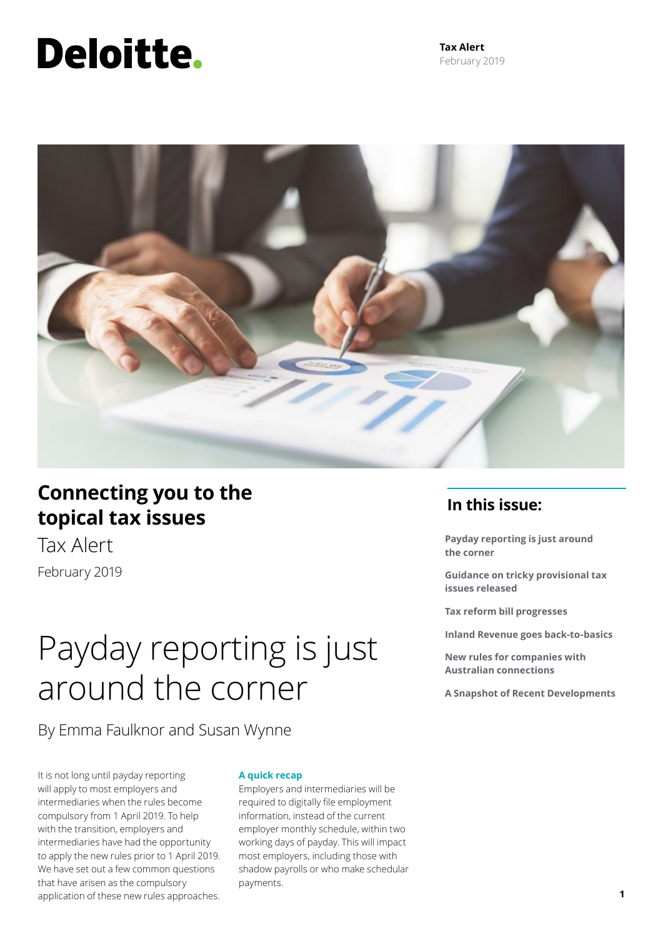# Deloitte.

**Tax Alert** February 2019



### **Connecting you to the topical tax issues**

Tax Alert February 2019

### Payday reporting is just around the corner

By Emma Faulknor and Susan Wynne

It is not long until payday reporting will apply to most employers and intermediaries when the rules become compulsory from 1 April 2019. To help with the transition, employers and intermediaries have had the opportunity to apply the new rules prior to 1 April 2019. We have set out a few common questions that have arisen as the compulsory application of these new rules approaches.

#### **A quick recap**

Employers and intermediaries will be required to digitally file employment information, instead of the current employer monthly schedule, within two working days of payday. This will impact most employers, including those with shadow payrolls or who make schedular payments.

### **In this issue:**

**Payday reporting is just around the corner**

**Guidance on tricky provisional tax issues released**

**Tax reform bill progresses**

**Inland Revenue goes back-to-basics**

**New rules for companies with Australian connections**

**A Snapshot of Recent Developments**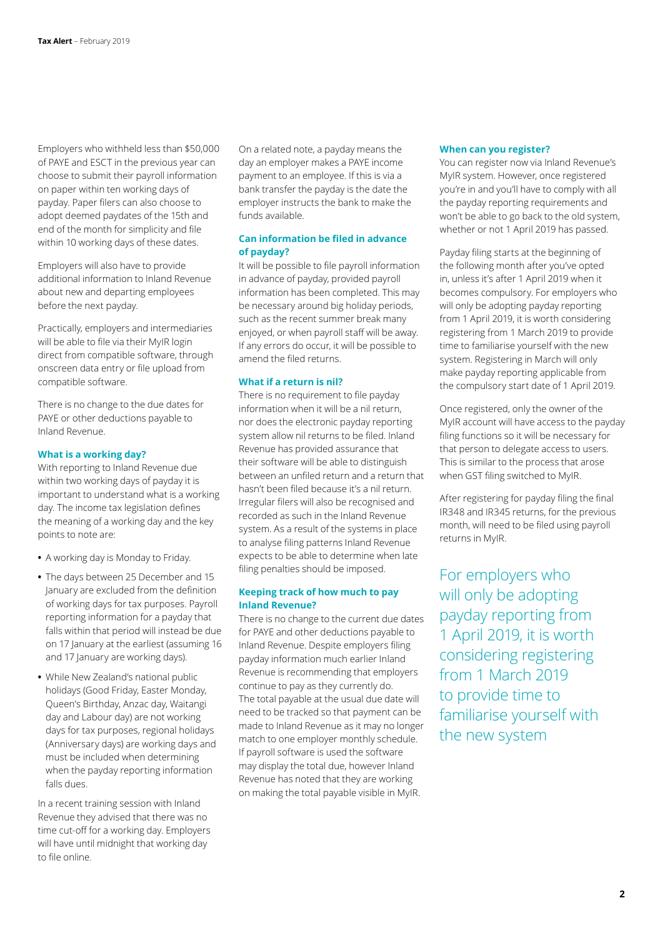Employers who withheld less than \$50,000 of PAYE and ESCT in the previous year can choose to submit their payroll information on paper within ten working days of payday. Paper filers can also choose to adopt deemed paydates of the 15th and end of the month for simplicity and file within 10 working days of these dates.

Employers will also have to provide additional information to Inland Revenue about new and departing employees before the next payday.

Practically, employers and intermediaries will be able to file via their MyIR login direct from compatible software, through onscreen data entry or file upload from compatible software.

There is no change to the due dates for PAYE or other deductions payable to Inland Revenue.

#### **What is a working day?**

With reporting to Inland Revenue due within two working days of payday it is important to understand what is a working day. The income tax legislation defines the meaning of a working day and the key points to note are:

- **•** A working day is Monday to Friday.
- **•** The days between 25 December and 15 January are excluded from the definition of working days for tax purposes. Payroll reporting information for a payday that falls within that period will instead be due on 17 January at the earliest (assuming 16 and 17 January are working days).
- **•** While New Zealand's national public holidays (Good Friday, Easter Monday, Queen's Birthday, Anzac day, Waitangi day and Labour day) are not working days for tax purposes, regional holidays (Anniversary days) are working days and must be included when determining when the payday reporting information falls dues.

In a recent training session with Inland Revenue they advised that there was no time cut-off for a working day. Employers will have until midnight that working day to file online.

On a related note, a payday means the day an employer makes a PAYE income payment to an employee. If this is via a bank transfer the payday is the date the employer instructs the bank to make the funds available.

#### **Can information be filed in advance of payday?**

It will be possible to file payroll information in advance of payday, provided payroll information has been completed. This may be necessary around big holiday periods, such as the recent summer break many enjoyed, or when payroll staff will be away. If any errors do occur, it will be possible to amend the filed returns.

#### **What if a return is nil?**

There is no requirement to file payday information when it will be a nil return, nor does the electronic payday reporting system allow nil returns to be filed. Inland Revenue has provided assurance that their software will be able to distinguish between an unfiled return and a return that hasn't been filed because it's a nil return. Irregular filers will also be recognised and recorded as such in the Inland Revenue system. As a result of the systems in place to analyse filing patterns Inland Revenue expects to be able to determine when late filing penalties should be imposed.

#### **Keeping track of how much to pay Inland Revenue?**

There is no change to the current due dates for PAYE and other deductions payable to Inland Revenue. Despite employers filing payday information much earlier Inland Revenue is recommending that employers continue to pay as they currently do. The total payable at the usual due date will need to be tracked so that payment can be made to Inland Revenue as it may no longer match to one employer monthly schedule. If payroll software is used the software may display the total due, however Inland Revenue has noted that they are working on making the total payable visible in MyIR.

#### **When can you register?**

You can register now via Inland Revenue's MyIR system. However, once registered you're in and you'll have to comply with all the payday reporting requirements and won't be able to go back to the old system, whether or not 1 April 2019 has passed.

Payday filing starts at the beginning of the following month after you've opted in, unless it's after 1 April 2019 when it becomes compulsory. For employers who will only be adopting payday reporting from 1 April 2019, it is worth considering registering from 1 March 2019 to provide time to familiarise yourself with the new system. Registering in March will only make payday reporting applicable from the compulsory start date of 1 April 2019.

Once registered, only the owner of the MyIR account will have access to the payday filing functions so it will be necessary for that person to delegate access to users. This is similar to the process that arose when GST filing switched to MyIR.

After registering for payday filing the final IR348 and IR345 returns, for the previous month, will need to be filed using payroll returns in MyIR.

For employers who will only be adopting payday reporting from 1 April 2019, it is worth considering registering from 1 March 2019 to provide time to familiarise yourself with the new system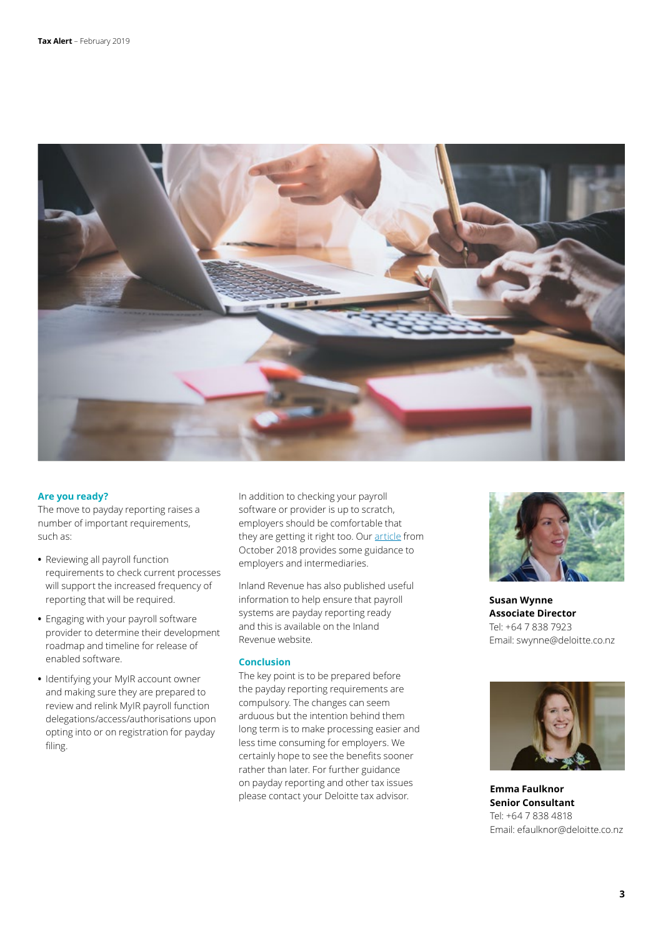

#### **Are you ready?**

The move to payday reporting raises a number of important requirements, such as:

- **•** Reviewing all payroll function requirements to check current processes will support the increased frequency of reporting that will be required.
- **•** Engaging with your payroll software provider to determine their development roadmap and timeline for release of enabled software.
- **•** Identifying your MyIR account owner and making sure they are prepared to review and relink MyIR payroll function delegations/access/authorisations upon opting into or on registration for payday filing.

In addition to checking your payroll software or provider is up to scratch, employers should be comfortable that they are getting it right too. Our [article](https://www2.deloitte.com/nz/en/pages/tax-alerts/articles/payday-reporting-for-employers-intermediaries-going-digital.html) from October 2018 provides some guidance to employers and intermediaries.

Inland Revenue has also published useful information to help ensure that payroll systems are payday reporting ready and this is available on the Inland Revenue website.

#### **Conclusion**

The key point is to be prepared before the payday reporting requirements are compulsory. The changes can seem arduous but the intention behind them long term is to make processing easier and less time consuming for employers. We certainly hope to see the benefits sooner rather than later. For further guidance on payday reporting and other tax issues please contact your Deloitte tax advisor.



**Susan Wynne Associate Director** Tel: +64 7 838 7923 Email: swynne@deloitte.co.nz



**Emma Faulknor Senior Consultant** Tel: +64 7 838 4818 Email: efaulknor@deloitte.co.nz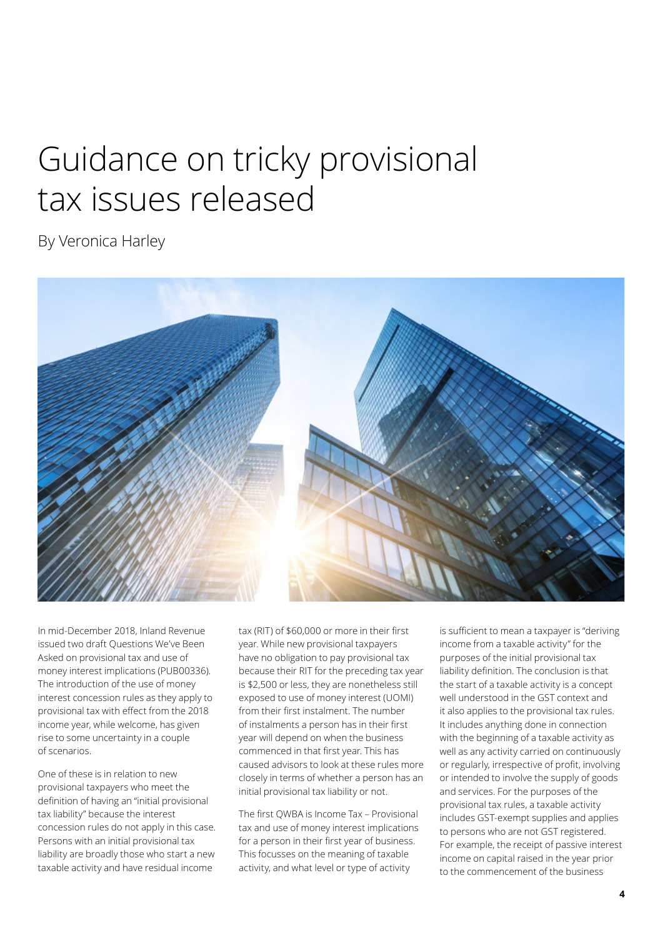### Guidance on tricky provisional tax issues released

By Veronica Harley



In mid-December 2018, Inland Revenue issued two draft Questions We've Been Asked on provisional tax and use of money interest implications (PUB00336). The introduction of the use of money interest concession rules as they apply to provisional tax with effect from the 2018 income year, while welcome, has given rise to some uncertainty in a couple of scenarios.

One of these is in relation to new provisional taxpayers who meet the definition of having an "initial provisional tax liability" because the interest concession rules do not apply in this case. Persons with an initial provisional tax liability are broadly those who start a new taxable activity and have residual income

tax (RIT) of \$60,000 or more in their first year. While new provisional taxpayers have no obligation to pay provisional tax because their RIT for the preceding tax year is \$2,500 or less, they are nonetheless still exposed to use of money interest (UOMI) from their first instalment. The number of instalments a person has in their first year will depend on when the business commenced in that first year. This has caused advisors to look at these rules more closely in terms of whether a person has an initial provisional tax liability or not.

The first QWBA is Income Tax – Provisional tax and use of money interest implications for a person in their first year of business. This focusses on the meaning of taxable activity, and what level or type of activity

is sufficient to mean a taxpayer is "deriving income from a taxable activity" for the purposes of the initial provisional tax liability definition. The conclusion is that the start of a taxable activity is a concept well understood in the GST context and it also applies to the provisional tax rules. It includes anything done in connection with the beginning of a taxable activity as well as any activity carried on continuously or regularly, irrespective of profit, involving or intended to involve the supply of goods and services. For the purposes of the provisional tax rules, a taxable activity includes GST-exempt supplies and applies to persons who are not GST registered. For example, the receipt of passive interest income on capital raised in the year prior to the commencement of the business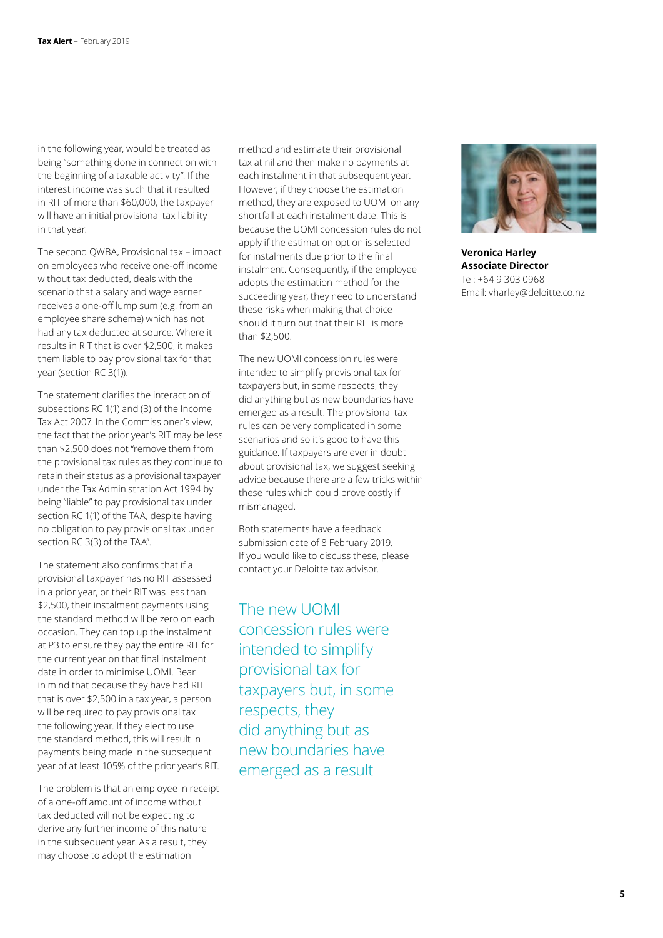in the following year, would be treated as being "something done in connection with the beginning of a taxable activity". If the interest income was such that it resulted in RIT of more than \$60,000, the taxpayer will have an initial provisional tax liability in that year.

The second QWBA, Provisional tax – impact on employees who receive one-off income without tax deducted, deals with the scenario that a salary and wage earner receives a one-off lump sum (e.g. from an employee share scheme) which has not had any tax deducted at source. Where it results in RIT that is over \$2,500, it makes them liable to pay provisional tax for that year (section RC 3(1)).

The statement clarifies the interaction of subsections RC 1(1) and (3) of the Income Tax Act 2007. In the Commissioner's view, the fact that the prior year's RIT may be less than \$2,500 does not "remove them from the provisional tax rules as they continue to retain their status as a provisional taxpayer under the Tax Administration Act 1994 by being "liable" to pay provisional tax under section RC 1(1) of the TAA, despite having no obligation to pay provisional tax under section RC 3(3) of the TAA".

The statement also confirms that if a provisional taxpayer has no RIT assessed in a prior year, or their RIT was less than \$2,500, their instalment payments using the standard method will be zero on each occasion. They can top up the instalment at P3 to ensure they pay the entire RIT for the current year on that final instalment date in order to minimise UOMI. Bear in mind that because they have had RIT that is over \$2,500 in a tax year, a person will be required to pay provisional tax the following year. If they elect to use the standard method, this will result in payments being made in the subsequent year of at least 105% of the prior year's RIT.

The problem is that an employee in receipt of a one-off amount of income without tax deducted will not be expecting to derive any further income of this nature in the subsequent year. As a result, they may choose to adopt the estimation

method and estimate their provisional tax at nil and then make no payments at each instalment in that subsequent year. However, if they choose the estimation method, they are exposed to UOMI on any shortfall at each instalment date. This is because the UOMI concession rules do not apply if the estimation option is selected for instalments due prior to the final instalment. Consequently, if the employee adopts the estimation method for the succeeding year, they need to understand these risks when making that choice should it turn out that their RIT is more than \$2,500.

The new UOMI concession rules were intended to simplify provisional tax for taxpayers but, in some respects, they did anything but as new boundaries have emerged as a result. The provisional tax rules can be very complicated in some scenarios and so it's good to have this guidance. If taxpayers are ever in doubt about provisional tax, we suggest seeking advice because there are a few tricks within these rules which could prove costly if mismanaged.

Both statements have a feedback submission date of 8 February 2019. If you would like to discuss these, please contact your Deloitte tax advisor.

The new UOMI concession rules were intended to simplify provisional tax for taxpayers but, in some respects, they did anything but as new boundaries have emerged as a result



**Veronica Harley Associate Director** Tel: +64 9 303 0968 Email: vharley@deloitte.co.nz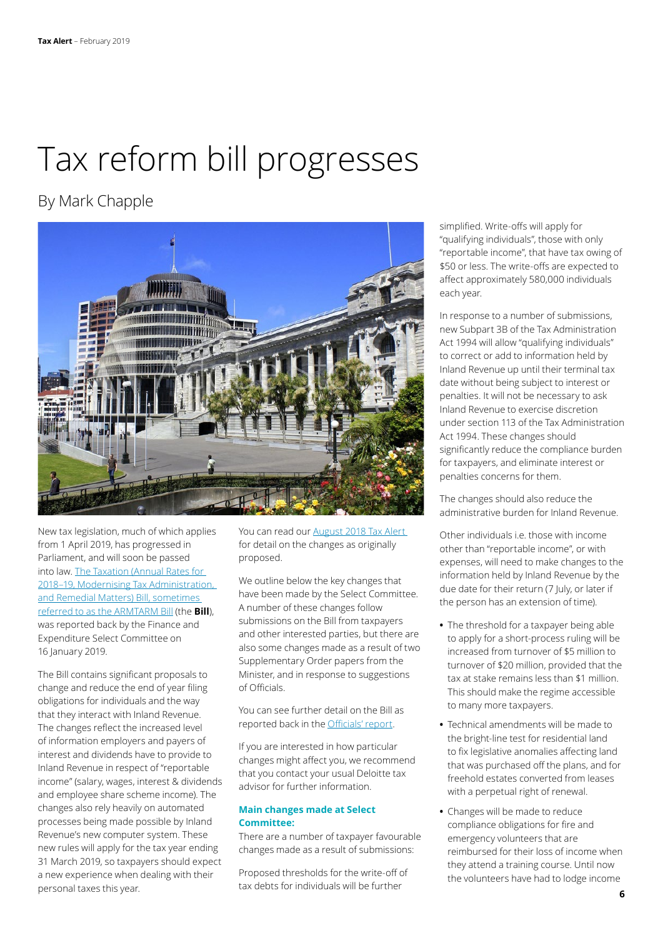## Tax reform bill progresses

### By Mark Chapple



New tax legislation, much of which applies from 1 April 2019, has progressed in Parliament, and will soon be passed into law. [The Taxation \(Annual Rates for](https://www.parliament.nz/en/pb/sc/reports/document/SCR_82732/taxation-annual-rates-for-2018-19-modernising-tax-administration)  [2018–19, Modernising Tax Administration,](https://www.parliament.nz/en/pb/sc/reports/document/SCR_82732/taxation-annual-rates-for-2018-19-modernising-tax-administration)  [and Remedial Matters\) Bill, sometimes](https://www.parliament.nz/en/pb/sc/reports/document/SCR_82732/taxation-annual-rates-for-2018-19-modernising-tax-administration)  [referred to as the ARMTARM Bill](https://www.parliament.nz/en/pb/sc/reports/document/SCR_82732/taxation-annual-rates-for-2018-19-modernising-tax-administration) (the **Bill**), was reported back by the Finance and Expenditure Select Committee on 16 January 2019.

The Bill contains significant proposals to change and reduce the end of year filing obligations for individuals and the way that they interact with Inland Revenue. The changes reflect the increased level of information employers and payers of interest and dividends have to provide to Inland Revenue in respect of "reportable income" (salary, wages, interest & dividends and employee share scheme income). The changes also rely heavily on automated processes being made possible by Inland Revenue's new computer system. These new rules will apply for the tax year ending 31 March 2019, so taxpayers should expect a new experience when dealing with their personal taxes this year.

You can read our [August 2018 Tax Alert](https://www2.deloitte.com/nz/en/pages/tax-alerts/articles/modernising-tax-administration.html)  for detail on the changes as originally proposed.

We outline below the key changes that have been made by the Select Committee. A number of these changes follow submissions on the Bill from taxpayers and other interested parties, but there are also some changes made as a result of two Supplementary Order papers from the Minister, and in response to suggestions of Officials.

You can see further detail on the Bill as reported back in the [Officials' report](http://taxpolicy.ird.govt.nz/news/2019-01-18-tax-bill-reported-back).

If you are interested in how particular changes might affect you, we recommend that you contact your usual Deloitte tax advisor for further information.

#### **Main changes made at Select Committee:**

There are a number of taxpayer favourable changes made as a result of submissions:

Proposed thresholds for the write-off of tax debts for individuals will be further

simplified. Write-offs will apply for "qualifying individuals", those with only "reportable income", that have tax owing of \$50 or less. The write-offs are expected to affect approximately 580,000 individuals each year.

In response to a number of submissions, new Subpart 3B of the Tax Administration Act 1994 will allow "qualifying individuals" to correct or add to information held by Inland Revenue up until their terminal tax date without being subject to interest or penalties. It will not be necessary to ask Inland Revenue to exercise discretion under section 113 of the Tax Administration Act 1994. These changes should significantly reduce the compliance burden for taxpayers, and eliminate interest or penalties concerns for them.

The changes should also reduce the administrative burden for Inland Revenue.

Other individuals i.e. those with income other than "reportable income", or with expenses, will need to make changes to the information held by Inland Revenue by the due date for their return (7 July, or later if the person has an extension of time).

- **•** The threshold for a taxpayer being able to apply for a short-process ruling will be increased from turnover of \$5 million to turnover of \$20 million, provided that the tax at stake remains less than \$1 million. This should make the regime accessible to many more taxpayers.
- **•** Technical amendments will be made to the bright-line test for residential land to fix legislative anomalies affecting land that was purchased off the plans, and for freehold estates converted from leases with a perpetual right of renewal.
- **•** Changes will be made to reduce compliance obligations for fire and emergency volunteers that are reimbursed for their loss of income when they attend a training course. Until now the volunteers have had to lodge income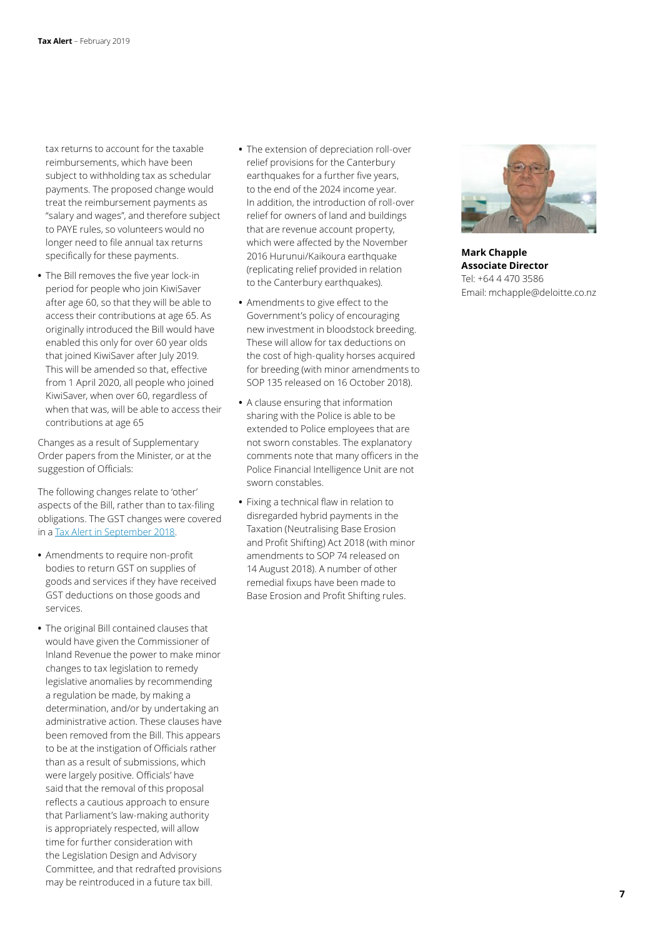tax returns to account for the taxable reimbursements, which have been subject to withholding tax as schedular payments. The proposed change would treat the reimbursement payments as "salary and wages", and therefore subject to PAYE rules, so volunteers would no longer need to file annual tax returns specifically for these payments.

**•** The Bill removes the five year lock-in period for people who join KiwiSaver after age 60, so that they will be able to access their contributions at age 65. As originally introduced the Bill would have enabled this only for over 60 year olds that joined KiwiSaver after July 2019. This will be amended so that, effective from 1 April 2020, all people who joined KiwiSaver, when over 60, regardless of when that was, will be able to access their contributions at age 65

Changes as a result of Supplementary Order papers from the Minister, or at the suggestion of Officials:

The following changes relate to 'other' aspects of the Bill, rather than to tax-filing obligations. The GST changes were covered in a [Tax Alert in September 2018](https://www2.deloitte.com/nz/en/pages/tax-alerts/articles/gst-change-for-non-profit-organisations-inland-revenues-proposals-released.html).

- **•** Amendments to require non-profit bodies to return GST on supplies of goods and services if they have received GST deductions on those goods and services.
- **•** The original Bill contained clauses that would have given the Commissioner of Inland Revenue the power to make minor changes to tax legislation to remedy legislative anomalies by recommending a regulation be made, by making a determination, and/or by undertaking an administrative action. These clauses have been removed from the Bill. This appears to be at the instigation of Officials rather than as a result of submissions, which were largely positive. Officials' have said that the removal of this proposal reflects a cautious approach to ensure that Parliament's law-making authority is appropriately respected, will allow time for further consideration with the Legislation Design and Advisory Committee, and that redrafted provisions may be reintroduced in a future tax bill.
- **•** The extension of depreciation roll-over relief provisions for the Canterbury earthquakes for a further five years, to the end of the 2024 income year. In addition, the introduction of roll-over relief for owners of land and buildings that are revenue account property, which were affected by the November 2016 Hurunui/Kaikoura earthquake (replicating relief provided in relation to the Canterbury earthquakes).
- **•** Amendments to give effect to the Government's policy of encouraging new investment in bloodstock breeding. These will allow for tax deductions on the cost of high-quality horses acquired for breeding (with minor amendments to SOP 135 released on 16 October 2018).
- **•** A clause ensuring that information sharing with the Police is able to be extended to Police employees that are not sworn constables. The explanatory comments note that many officers in the Police Financial Intelligence Unit are not sworn constables.
- **•** Fixing a technical flaw in relation to disregarded hybrid payments in the Taxation (Neutralising Base Erosion and Profit Shifting) Act 2018 (with minor amendments to SOP 74 released on 14 August 2018). A number of other remedial fixups have been made to Base Erosion and Profit Shifting rules.



**Mark Chapple Associate Director** Tel: +64 4 470 3586 Email: mchapple@deloitte.co.nz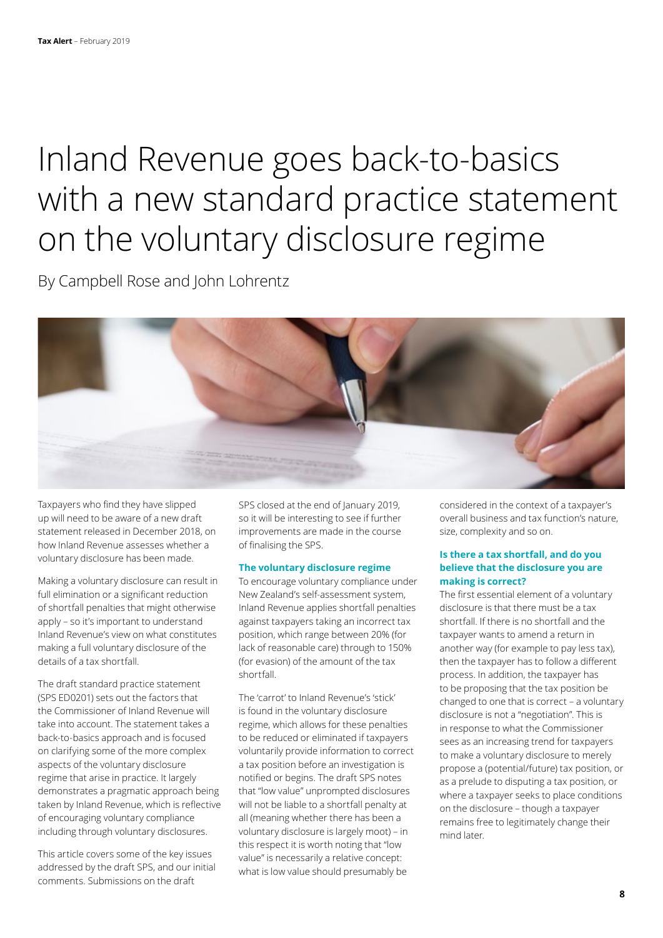## Inland Revenue goes back-to-basics with a new standard practice statement on the voluntary disclosure regime

By Campbell Rose and John Lohrentz

Taxpayers who find they have slipped up will need to be aware of a new draft statement released in December 2018, on how Inland Revenue assesses whether a voluntary disclosure has been made.

Making a voluntary disclosure can result in full elimination or a significant reduction of shortfall penalties that might otherwise apply – so it's important to understand Inland Revenue's view on what constitutes making a full voluntary disclosure of the details of a tax shortfall.

The draft standard practice statement (SPS ED0201) sets out the factors that the Commissioner of Inland Revenue will take into account. The statement takes a back-to-basics approach and is focused on clarifying some of the more complex aspects of the voluntary disclosure regime that arise in practice. It largely demonstrates a pragmatic approach being taken by Inland Revenue, which is reflective of encouraging voluntary compliance including through voluntary disclosures.

This article covers some of the key issues addressed by the draft SPS, and our initial comments. Submissions on the draft

SPS closed at the end of January 2019, so it will be interesting to see if further improvements are made in the course of finalising the SPS.

#### **The voluntary disclosure regime**

To encourage voluntary compliance under New Zealand's self-assessment system, Inland Revenue applies shortfall penalties against taxpayers taking an incorrect tax position, which range between 20% (for lack of reasonable care) through to 150% (for evasion) of the amount of the tax shortfall.

The 'carrot' to Inland Revenue's 'stick' is found in the voluntary disclosure regime, which allows for these penalties to be reduced or eliminated if taxpayers voluntarily provide information to correct a tax position before an investigation is notified or begins. The draft SPS notes that "low value" unprompted disclosures will not be liable to a shortfall penalty at all (meaning whether there has been a voluntary disclosure is largely moot) – in this respect it is worth noting that "low value" is necessarily a relative concept: what is low value should presumably be

considered in the context of a taxpayer's overall business and tax function's nature, size, complexity and so on.

#### **Is there a tax shortfall, and do you believe that the disclosure you are making is correct?**

The first essential element of a voluntary disclosure is that there must be a tax shortfall. If there is no shortfall and the taxpayer wants to amend a return in another way (for example to pay less tax), then the taxpayer has to follow a different process. In addition, the taxpayer has to be proposing that the tax position be changed to one that is correct – a voluntary disclosure is not a "negotiation". This is in response to what the Commissioner sees as an increasing trend for taxpayers to make a voluntary disclosure to merely propose a (potential/future) tax position, or as a prelude to disputing a tax position, or where a taxpayer seeks to place conditions on the disclosure – though a taxpayer remains free to legitimately change their mind later.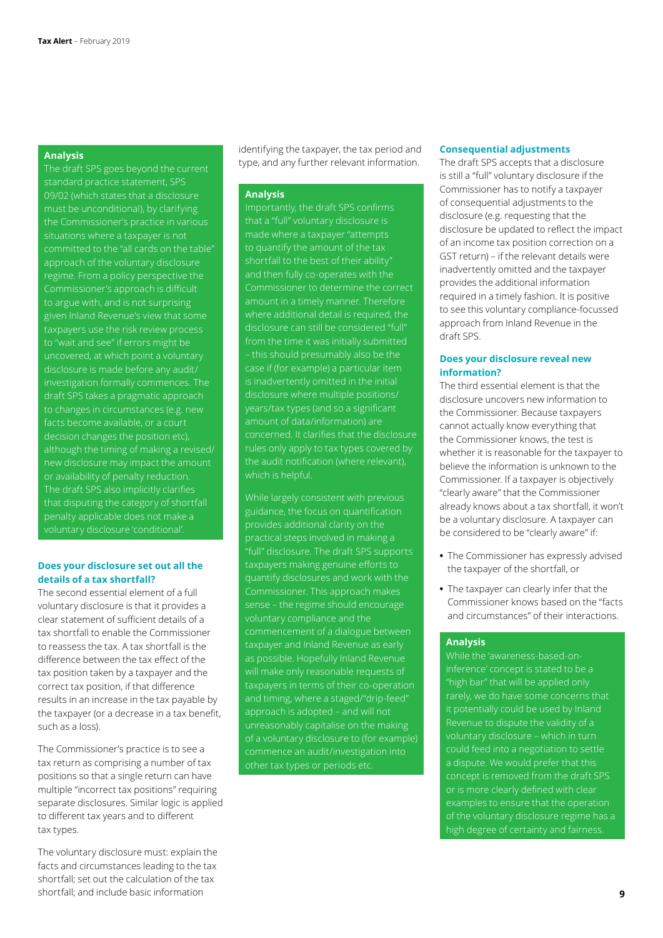#### **Analysis**

The draft SPS goes beyond the current standard practice statement, SPS 09/02 (which states that a disclosure must be unconditional), by clarifying the Commissioner's practice in various situations where a taxpayer is not approach of the voluntary disclosure regime. From a policy perspective the Commissioner's approach is difficult to argue with, and is not surprising given Inland Revenue's view that some taxpayers use the risk review process to "wait and see" if errors might be disclosure is made before any audit/ investigation formally commences. The draft SPS takes a pragmatic approach to changes in circumstances (e.g. new facts become available, or a court decision changes the position etc), although the timing of making a revised/ new disclosure may impact the amount or availability of penalty reduction. The draft SPS also implicitly clarifies that disputing the category of shortfall penalty applicable does not make a

#### **Does your disclosure set out all the details of a tax shortfall?**

The second essential element of a full voluntary disclosure is that it provides a clear statement of sufficient details of a tax shortfall to enable the Commissioner to reassess the tax. A tax shortfall is the difference between the tax effect of the tax position taken by a taxpayer and the correct tax position, if that difference results in an increase in the tax payable by the taxpayer (or a decrease in a tax benefit, such as a loss).

The Commissioner's practice is to see a tax return as comprising a number of tax positions so that a single return can have multiple "incorrect tax positions" requiring separate disclosures. Similar logic is applied to different tax years and to different tax types.

The voluntary disclosure must: explain the facts and circumstances leading to the tax shortfall; set out the calculation of the tax shortfall; and include basic information

identifying the taxpayer, the tax period and type, and any further relevant information.

#### **Analysis**

that a "full" voluntary disclosure is made where a taxpayer "attempts to quantify the amount of the tax shortfall to the best of their ability" Commissioner to determine the correct amount in a timely manner. Therefore where additional detail is required, the disclosure can still be considered "full" – this should presumably also be the is inadvertently omitted in the initial disclosure where multiple positions/ years/tax types (and so a significant amount of data/information) are concerned. It clarifies that the disclosure rules only apply to tax types covered by which is helpful.

While largely consistent with previous guidance, the focus on quantification provides additional clarity on the practical steps involved in making a "full" disclosure. The draft SPS supports taxpayers making genuine efforts to Commissioner. This approach makes sense – the regime should encourage voluntary compliance and the commencement of a dialogue between taxpayer and Inland Revenue as early as possible. Hopefully Inland Revenue will make only reasonable requests of taxpayers in terms of their co-operation and timing, where a staged/"drip-feed" approach is adopted – and will not unreasonably capitalise on the making of a voluntary disclosure to (for example) commence an audit/investigation into other tax types or periods etc.

#### **Consequential adjustments**

The draft SPS accepts that a disclosure is still a "full" voluntary disclosure if the Commissioner has to notify a taxpayer of consequential adjustments to the disclosure (e.g. requesting that the disclosure be updated to reflect the impact of an income tax position correction on a GST return) – if the relevant details were inadvertently omitted and the taxpayer provides the additional information required in a timely fashion. It is positive to see this voluntary compliance-focussed approach from Inland Revenue in the draft SPS.

#### **Does your disclosure reveal new information?**

The third essential element is that the disclosure uncovers new information to the Commissioner. Because taxpayers cannot actually know everything that the Commissioner knows, the test is whether it is reasonable for the taxpayer to believe the information is unknown to the Commissioner. If a taxpayer is objectively "clearly aware" that the Commissioner already knows about a tax shortfall, it won't be a voluntary disclosure. A taxpayer can be considered to be "clearly aware" if:

- **•** The Commissioner has expressly advised the taxpayer of the shortfall, or
- **•** The taxpayer can clearly infer that the Commissioner knows based on the "facts and circumstances" of their interactions.

#### **Analysis**

While the 'awareness-based-oninference' concept is stated to be a "high bar" that will be applied only Revenue to dispute the validity of a voluntary disclosure – which in turn could feed into a negotiation to settle a dispute. We would prefer that this concept is removed from the draft SPS or is more clearly defined with clear examples to ensure that the operation of the voluntary disclosure regime has a high degree of certainty and fairness.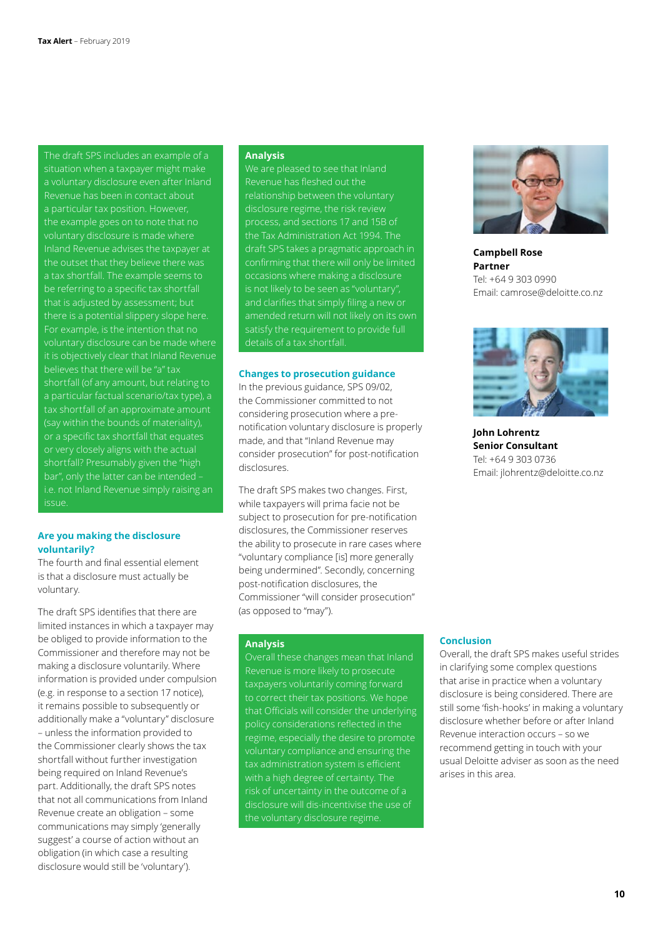The draft SPS includes an example of a situation when a taxpayer might make a voluntary disclosure even after Inland a particular tax position. However, the example goes on to note that no voluntary disclosure is made where Inland Revenue advises the taxpayer at a tax shortfall. The example seems to be referring to a specific tax shortfall that is adjusted by assessment; but there is a potential slippery slope here. For example, is the intention that no it is objectively clear that Inland Revenue believes that there will be "a" tax shortfall (of any amount, but relating to a particular factual scenario/tax type), a tax shortfall of an approximate amount or a specific tax shortfall that equates or very closely aligns with the actual shortfall? Presumably given the "high bar", only the latter can be intended – i.e. not Inland Revenue simply raising an issue.

#### **Are you making the disclosure voluntarily?**

The fourth and final essential element is that a disclosure must actually be voluntary.

The draft SPS identifies that there are limited instances in which a taxpayer may be obliged to provide information to the Commissioner and therefore may not be making a disclosure voluntarily. Where information is provided under compulsion (e.g. in response to a section 17 notice), it remains possible to subsequently or additionally make a "voluntary" disclosure – unless the information provided to the Commissioner clearly shows the tax shortfall without further investigation being required on Inland Revenue's part. Additionally, the draft SPS notes that not all communications from Inland Revenue create an obligation – some communications may simply 'generally suggest' a course of action without an obligation (in which case a resulting disclosure would still be 'voluntary').

#### **Analysis**

We are pleased to see that Inland Revenue has fleshed out the relationship between the voluntary disclosure regime, the risk review process, and sections 17 and 15B of the Tax Administration Act 1994. The draft SPS takes a pragmatic approach in confirming that there will only be limited occasions where making a disclosure and clarifies that simply filing a new or amended return will not likely on its own satisfy the requirement to provide full

#### **Changes to prosecution guidance**

In the previous guidance, SPS 09/02, the Commissioner committed to not considering prosecution where a prenotification voluntary disclosure is properly made, and that "Inland Revenue may consider prosecution" for post-notification disclosures.

The draft SPS makes two changes. First, while taxpayers will prima facie not be subject to prosecution for pre-notification disclosures, the Commissioner reserves the ability to prosecute in rare cases where "voluntary compliance [is] more generally being undermined". Secondly, concerning post-notification disclosures, the Commissioner "will consider prosecution" (as opposed to "may").

#### **Analysis**

Overall these changes mean that Inland taxpayers voluntarily coming forward to correct their tax positions. We hope that Officials will consider the underlying policy considerations reflected in the regime, especially the desire to promote voluntary compliance and ensuring the tax administration system is efficient with a high degree of certainty. The risk of uncertainty in the outcome of a disclosure will dis-incentivise the use of the voluntary disclosure regime.



**Campbell Rose Partner** Tel: +64 9 303 0990 Email: camrose@deloitte.co.nz



**John Lohrentz Senior Consultant** Tel: +64 9 303 0736 Email: jlohrentz@deloitte.co.nz

#### **Conclusion**

Overall, the draft SPS makes useful strides in clarifying some complex questions that arise in practice when a voluntary disclosure is being considered. There are still some 'fish-hooks' in making a voluntary disclosure whether before or after Inland Revenue interaction occurs – so we recommend getting in touch with your usual Deloitte adviser as soon as the need arises in this area.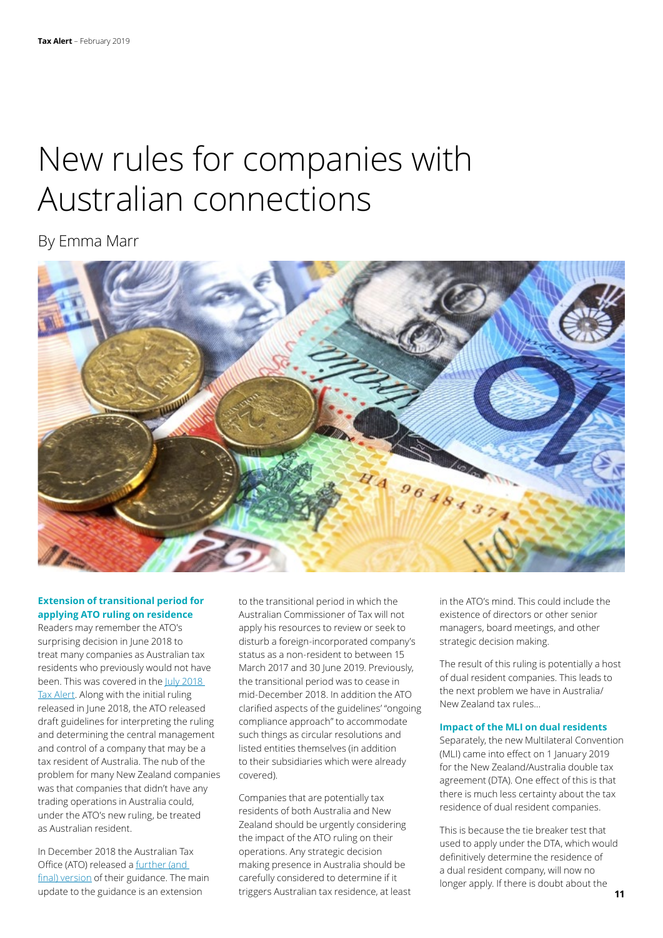## New rules for companies with Australian connections

By Emma Marr



#### **Extension of transitional period for applying ATO ruling on residence**

Readers may remember the ATO's surprising decision in June 2018 to treat many companies as Australian tax residents who previously would not have been. This was covered in the July 2018 [Tax Alert](https://www2.deloitte.com/nz/en/pages/tax-alerts/articles/nz-companies-may-be-australian-resident-under-ato-ruling.html). Along with the initial ruling released in June 2018, the ATO released draft guidelines for interpreting the ruling and determining the central management and control of a company that may be a tax resident of Australia. The nub of the problem for many New Zealand companies was that companies that didn't have any trading operations in Australia could, under the ATO's new ruling, be treated as Australian resident.

In December 2018 the Australian Tax Office (ATO) released a [further \(and](https://www.ato.gov.au/law/view/document?DocID=DPC/PCG2018D3/NAT/ATO/00001)  [final\) version](https://www.ato.gov.au/law/view/document?DocID=DPC/PCG2018D3/NAT/ATO/00001) of their guidance. The main update to the guidance is an extension

to the transitional period in which the Australian Commissioner of Tax will not apply his resources to review or seek to disturb a foreign-incorporated company's status as a non-resident to between 15 March 2017 and 30 June 2019. Previously, the transitional period was to cease in mid-December 2018. In addition the ATO clarified aspects of the guidelines' "ongoing compliance approach" to accommodate such things as circular resolutions and listed entities themselves (in addition to their subsidiaries which were already covered).

Companies that are potentially tax residents of both Australia and New Zealand should be urgently considering the impact of the ATO ruling on their operations. Any strategic decision making presence in Australia should be carefully considered to determine if it triggers Australian tax residence, at least in the ATO's mind. This could include the existence of directors or other senior managers, board meetings, and other strategic decision making.

The result of this ruling is potentially a host of dual resident companies. This leads to the next problem we have in Australia/ New Zealand tax rules…

#### **Impact of the MLI on dual residents**

Separately, the new Multilateral Convention (MLI) came into effect on 1 January 2019 for the New Zealand/Australia double tax agreement (DTA). One effect of this is that there is much less certainty about the tax residence of dual resident companies.

This is because the tie breaker test that used to apply under the DTA, which would definitively determine the residence of a dual resident company, will now no longer apply. If there is doubt about the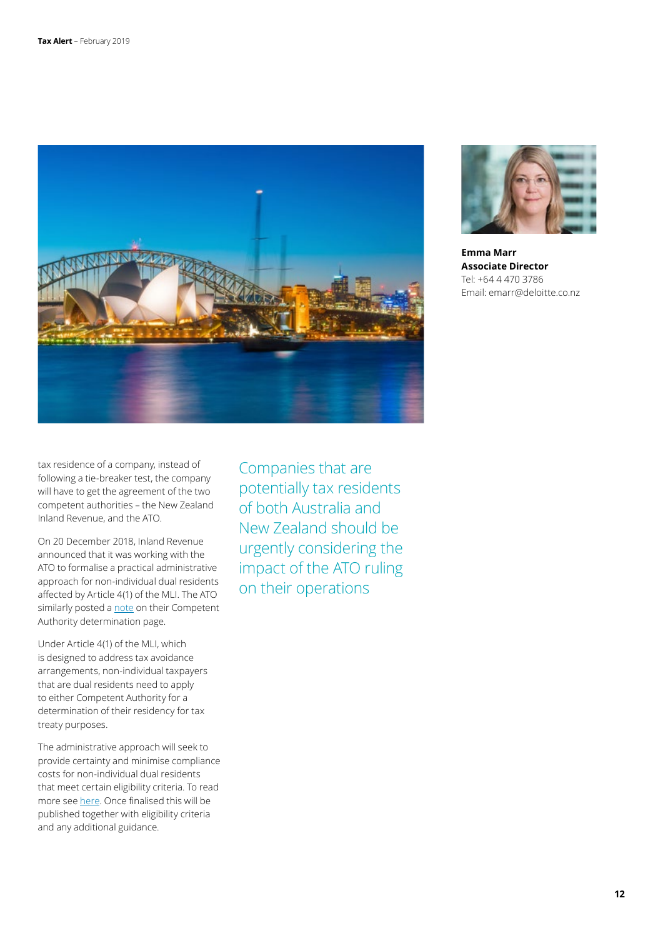



**Emma Marr Associate Director** Tel: +64 4 470 3786 Email: emarr@deloitte.co.nz

tax residence of a company, instead of following a tie-breaker test, the company will have to get the agreement of the two competent authorities – the New Zealand Inland Revenue, and the ATO.

On 20 December 2018, Inland Revenue announced that it was working with the ATO to formalise a practical administrative approach for non-individual dual residents affected by Article 4(1) of the MLI. The ATO similarly posted a [note](https://www.ato.gov.au/General/ATO-advice-and-guidance/In-detail/Private-rulings/Supporting-documents/Competent-Authority-determination/) on their Competent Authority determination page.

Under Article 4(1) of the MLI, which is designed to address tax avoidance arrangements, non-individual taxpayers that are dual residents need to apply to either Competent Authority for a determination of their residency for tax treaty purposes.

The administrative approach will seek to provide certainty and minimise compliance costs for non-individual dual residents that meet certain eligibility criteria. To read more see [here](http://taxpolicy.ird.govt.nz/news/2018-12-20-australia-nz-tax-treaty-administrative-approach-article-41-mli#note). Once finalised this will be published together with eligibility criteria and any additional guidance.

Companies that are potentially tax residents of both Australia and New Zealand should be urgently considering the impact of the ATO ruling on their operations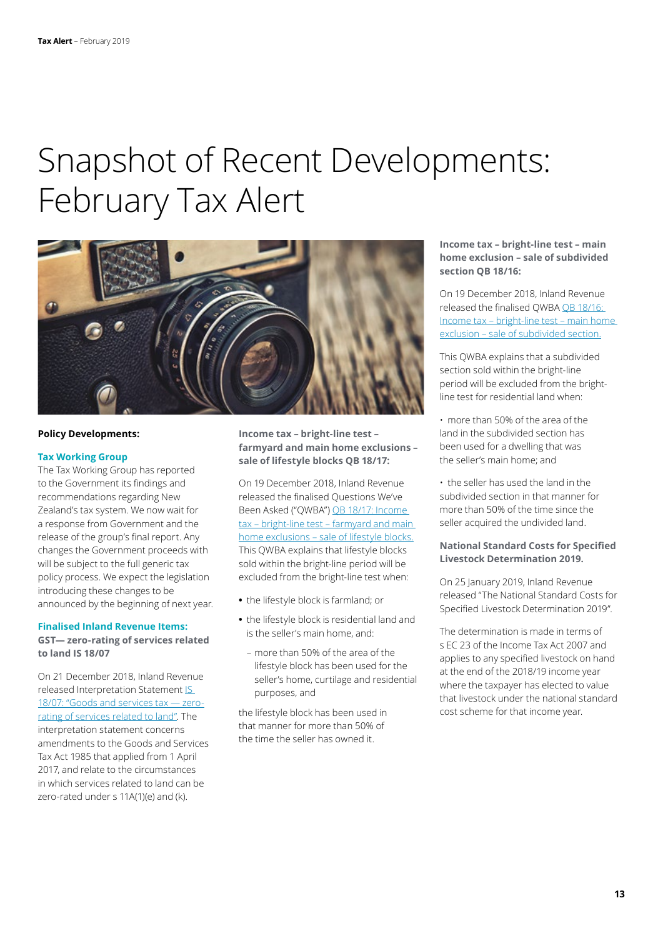### Snapshot of Recent Developments: February Tax Alert



#### **Policy Developments:**

#### **Tax Working Group**

The Tax Working Group has reported to the Government its findings and recommendations regarding New Zealand's tax system. We now wait for a response from Government and the release of the group's final report. Any changes the Government proceeds with will be subject to the full generic tax policy process. We expect the legislation introducing these changes to be announced by the beginning of next year.

#### **Finalised Inland Revenue Items:**

**GST— zero-rating of services related to land IS 18/07**

On 21 December 2018, Inland Revenue released Interpretation Statement [IS](https://www.ird.govt.nz/resources/3/3/33caee17-62dc-44aa-8ff8-6822a2af7e1e/is18-07.pdf)  [18/07: "Goods and services tax — zero](https://www.ird.govt.nz/resources/3/3/33caee17-62dc-44aa-8ff8-6822a2af7e1e/is18-07.pdf)[rating of services related to land".](https://www.ird.govt.nz/resources/3/3/33caee17-62dc-44aa-8ff8-6822a2af7e1e/is18-07.pdf) The interpretation statement concerns amendments to the Goods and Services Tax Act 1985 that applied from 1 April 2017, and relate to the circumstances in which services related to land can be zero-rated under s 11A(1)(e) and (k).

#### **Income tax – bright-line test – farmyard and main home exclusions – sale of lifestyle blocks QB 18/17:**

On 19 December 2018, Inland Revenue released the finalised Questions We've Been Asked ("QWBA") [QB 18/17: Income](https://www.ird.govt.nz/resources/5/6/56b5df2d-e5d2-4e94-b7c0-465c69eb16be/qb18-17.pdf)  [tax – bright-line test – farmyard and main](https://www.ird.govt.nz/resources/5/6/56b5df2d-e5d2-4e94-b7c0-465c69eb16be/qb18-17.pdf)  [home exclusions – sale of lifestyle blocks.](https://www.ird.govt.nz/resources/5/6/56b5df2d-e5d2-4e94-b7c0-465c69eb16be/qb18-17.pdf) This QWBA explains that lifestyle blocks sold within the bright-line period will be excluded from the bright-line test when:

- **•** the lifestyle block is farmland; or
- **•** the lifestyle block is residential land and is the seller's main home, and:
	- more than 50% of the area of the lifestyle block has been used for the seller's home, curtilage and residential purposes, and

the lifestyle block has been used in that manner for more than 50% of the time the seller has owned it.

#### **Income tax – bright-line test – main home exclusion – sale of subdivided section QB 18/16:**

On 19 December 2018, Inland Revenue released the finalised QWBA [QB 18/16:](https://www.ird.govt.nz/resources/2/9/29d92e6f-8eff-478f-bf67-671baf304c49/qb18-16.pdf)  [Income tax – bright-line test – main home](https://www.ird.govt.nz/resources/2/9/29d92e6f-8eff-478f-bf67-671baf304c49/qb18-16.pdf)  [exclusion – sale of subdivided section.](https://www.ird.govt.nz/resources/2/9/29d92e6f-8eff-478f-bf67-671baf304c49/qb18-16.pdf)

This QWBA explains that a subdivided section sold within the bright-line period will be excluded from the brightline test for residential land when:

• more than 50% of the area of the land in the subdivided section has been used for a dwelling that was the seller's main home; and

• the seller has used the land in the subdivided section in that manner for more than 50% of the time since the seller acquired the undivided land.

#### **National Standard Costs for Specified Livestock Determination 2019.**

On 25 January 2019, Inland Revenue released "The National Standard Costs for Specified Livestock Determination 2019".

The determination is made in terms of s EC 23 of the Income Tax Act 2007 and applies to any specified livestock on hand at the end of the 2018/19 income year where the taxpayer has elected to value that livestock under the national standard cost scheme for that income year.